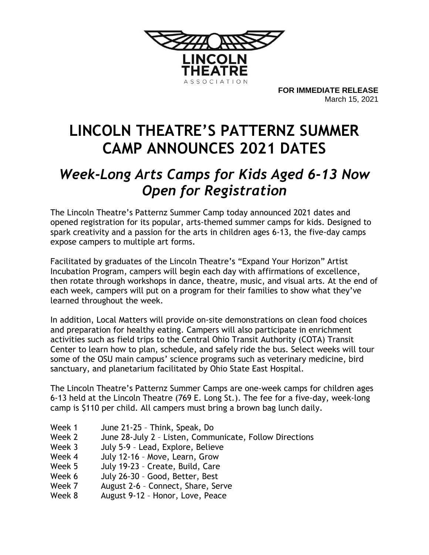

**FOR IMMEDIATE RELEASE** March 15, 2021

## **LINCOLN THEATRE'S PATTERNZ SUMMER CAMP ANNOUNCES 2021 DATES**

## *Week-Long Arts Camps for Kids Aged 6-13 Now Open for Registration*

The Lincoln Theatre's Patternz Summer Camp today announced 2021 dates and opened registration for its popular, arts-themed summer camps for kids. Designed to spark creativity and a passion for the arts in children ages 6-13, the five-day camps expose campers to multiple art forms.

Facilitated by graduates of the Lincoln Theatre's "Expand Your Horizon" Artist Incubation Program, campers will begin each day with affirmations of excellence, then rotate through workshops in dance, theatre, music, and visual arts. At the end of each week, campers will put on a program for their families to show what they've learned throughout the week.

In addition, Local Matters will provide on-site demonstrations on clean food choices and preparation for healthy eating. Campers will also participate in enrichment activities such as field trips to the Central Ohio Transit Authority (COTA) Transit Center to learn how to plan, schedule, and safely ride the bus. Select weeks will tour some of the OSU main campus' science programs such as veterinary medicine, bird sanctuary, and planetarium facilitated by Ohio State East Hospital.

The Lincoln Theatre's Patternz Summer Camps are one-week camps for children ages 6-13 held at the Lincoln Theatre (769 E. Long St.). The fee for a five-day, week-long camp is \$110 per child. All campers must bring a brown bag lunch daily.

- Week 1 June 21-25 Think, Speak, Do
- Week 2 June 28-July 2 Listen, Communicate, Follow Directions
- Week 3 July 5-9 Lead, Explore, Believe
- Week 4 July 12-16 Move, Learn, Grow
- Week 5 July 19-23 Create, Build, Care
- Week 6 July 26-30 Good, Better, Best
- Week 7 August 2-6 Connect, Share, Serve
- Week 8 August 9-12 Honor, Love, Peace